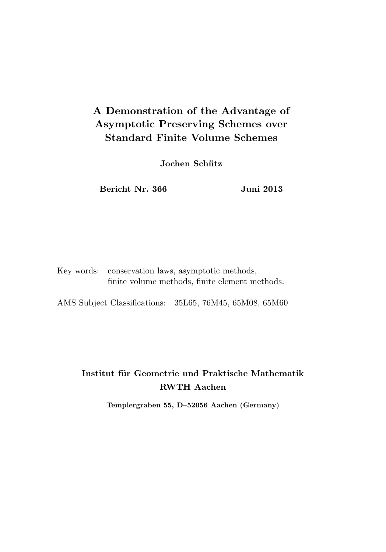# A Demonstration of the Advantage of Asymptotic Preserving Schemes over Standard Finite Volume Schemes

Jochen Schütz

Bericht Nr. 366 Juni 2013

Key words: conservation laws, asymptotic methods, finite volume methods, finite element methods.

AMS Subject Classifications: 35L65, 76M45, 65M08, 65M60

# Institut für Geometrie und Praktische Mathematik RWTH Aachen

Templergraben 55, D–52056 Aachen (Germany)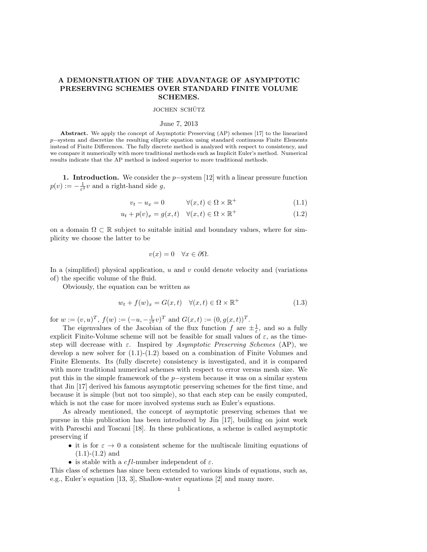# A DEMONSTRATION OF THE ADVANTAGE OF ASYMPTOTIC PRESERVING SCHEMES OVER STANDARD FINITE VOLUME SCHEMES.

#### JOCHEN SCHÜTZ

### June 7, 2013

Abstract. We apply the concept of Asymptotic Preserving (AP) schemes [17] to the linearized p−system and discretize the resulting elliptic equation using standard continuous Finite Elements instead of Finite Differences. The fully discrete method is analyzed with respect to consistency, and we compare it numerically with more traditional methods such as Implicit Euler's method. Numerical results indicate that the AP method is indeed superior to more traditional methods.

1. Introduction. We consider the  $p$ -system [12] with a linear pressure function  $p(v) := -\frac{1}{\varepsilon^2}v$  and a right-hand side g,

$$
v_t - u_x = 0 \qquad \forall (x, t) \in \Omega \times \mathbb{R}^+ \tag{1.1}
$$

$$
u_t + p(v)_x = g(x, t) \quad \forall (x, t) \in \Omega \times \mathbb{R}^+ \tag{1.2}
$$

on a domain  $\Omega \subset \mathbb{R}$  subject to suitable initial and boundary values, where for simplicity we choose the latter to be

$$
v(x) = 0 \quad \forall x \in \partial \Omega.
$$

In a (simplified) physical application,  $u$  and  $v$  could denote velocity and (variations of) the specific volume of the fluid.

Obviously, the equation can be written as

$$
w_t + f(w)_x = G(x, t) \quad \forall (x, t) \in \Omega \times \mathbb{R}^+ \tag{1.3}
$$

for  $w := (v, u)^T$ ,  $f(w) := (-u, -\frac{1}{\varepsilon^2}v)^T$  and  $G(x, t) := (0, g(x, t))^T$ .

The eigenvalues of the Jacobian of the flux function  $f$  are  $\pm \frac{1}{\varepsilon}$ , and so a fully explicit Finite-Volume scheme will not be feasible for small values of  $\varepsilon$ , as the timestep will decrease with  $\varepsilon$ . Inspired by Asymptotic Preserving Schemes (AP), we develop a new solver for  $(1.1)-(1.2)$  based on a combination of Finite Volumes and Finite Elements. Its (fully discrete) consistency is investigated, and it is compared with more traditional numerical schemes with respect to error versus mesh size. We put this in the simple framework of the p−system because it was on a similar system that Jin [17] derived his famous asymptotic preserving schemes for the first time, and because it is simple (but not too simple), so that each step can be easily computed, which is not the case for more involved systems such as Euler's equations.

As already mentioned, the concept of asymptotic preserving schemes that we pursue in this publication has been introduced by Jin [17], building on joint work with Pareschi and Toscani [18]. In these publications, a scheme is called asymptotic preserving if

- it is for  $\varepsilon \to 0$  a consistent scheme for the multiscale limiting equations of  $(1.1)-(1.2)$  and
- is stable with a *cfl*-number independent of  $\varepsilon$ .

This class of schemes has since been extended to various kinds of equations, such as, e.g., Euler's equation [13, 3], Shallow-water equations [2] and many more.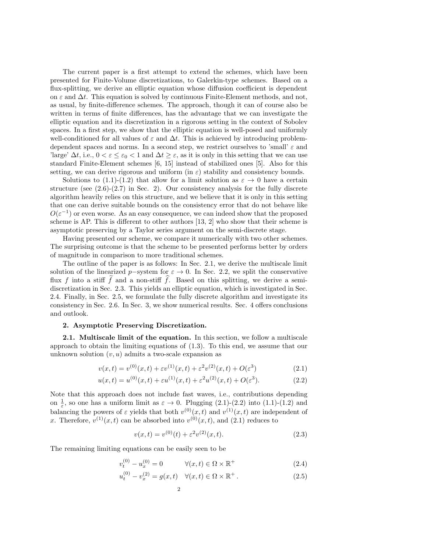The current paper is a first attempt to extend the schemes, which have been presented for Finite-Volume discretizations, to Galerkin-type schemes. Based on a flux-splitting, we derive an elliptic equation whose diffusion coefficient is dependent on  $\varepsilon$  and  $\Delta t$ . This equation is solved by continuous Finite-Element methods, and not, as usual, by finite-difference schemes. The approach, though it can of course also be written in terms of finite differences, has the advantage that we can investigate the elliptic equation and its discretization in a rigorous setting in the context of Sobolev spaces. In a first step, we show that the elliptic equation is well-posed and uniformly well-conditioned for all values of  $\varepsilon$  and  $\Delta t$ . This is achieved by introducing problemdependent spaces and norms. In a second step, we restrict ourselves to 'small'  $\varepsilon$  and 'large'  $\Delta t$ , i.e.,  $0 < \varepsilon \leq \varepsilon_0 < 1$  and  $\Delta t \geq \varepsilon$ , as it is only in this setting that we can use standard Finite-Element schemes [6, 15] instead of stabilized ones [5]. Also for this setting, we can derive rigorous and uniform (in  $\varepsilon$ ) stability and consistency bounds.

Solutions to (1.1)-(1.2) that allow for a limit solution as  $\varepsilon \to 0$  have a certain structure (see  $(2.6)-(2.7)$  in Sec. 2). Our consistency analysis for the fully discrete algorithm heavily relies on this structure, and we believe that it is only in this setting that one can derive suitable bounds on the consistency error that do not behave like  $O(\varepsilon^{-1})$  or even worse. As an easy consequence, we can indeed show that the proposed scheme is AP. This is different to other authors  $[13, 2]$  who show that their scheme is asymptotic preserving by a Taylor series argument on the semi-discrete stage.

Having presented our scheme, we compare it numerically with two other schemes. The surprising outcome is that the scheme to be presented performs better by orders of magnitude in comparison to more traditional schemes.

The outline of the paper is as follows: In Sec. 2.1, we derive the multiscale limit solution of the linearized p-system for  $\varepsilon \to 0$ . In Sec. 2.2, we split the conservative flux f into a stiff f and a non-stiff f. Based on this splitting, we derive a semidiscretization in Sec. 2.3. This yields an elliptic equation, which is investigated in Sec. 2.4. Finally, in Sec. 2.5, we formulate the fully discrete algorithm and investigate its consistency in Sec. 2.6. In Sec. 3, we show numerical results. Sec. 4 offers conclusions and outlook.

## 2. Asymptotic Preserving Discretization.

2.1. Multiscale limit of the equation. In this section, we follow a multiscale approach to obtain the limiting equations of (1.3). To this end, we assume that our unknown solution  $(v, u)$  admits a two-scale expansion as

$$
v(x,t) = v^{(0)}(x,t) + \varepsilon v^{(1)}(x,t) + \varepsilon^2 v^{(2)}(x,t) + O(\varepsilon^3)
$$
\n(2.1)

$$
u(x,t) = u^{(0)}(x,t) + \varepsilon u^{(1)}(x,t) + \varepsilon^2 u^{(2)}(x,t) + O(\varepsilon^3).
$$
 (2.2)

Note that this approach does not include fast waves, i.e., contributions depending on  $\frac{1}{\varepsilon}$ , so one has a uniform limit as  $\varepsilon \to 0$ . Plugging (2.1)-(2.2) into (1.1)-(1.2) and balancing the powers of  $\varepsilon$  yields that both  $v^{(0)}(x,t)$  and  $v^{(1)}(x,t)$  are independent of x. Therefore,  $v^{(1)}(x,t)$  can be absorbed into  $v^{(0)}(x,t)$ , and  $(2.1)$  reduces to

$$
v(x,t) = v^{(0)}(t) + \varepsilon^2 v^{(2)}(x,t).
$$
\n(2.3)

The remaining limiting equations can be easily seen to be

$$
v_t^{(0)} - u_x^{(0)} = 0 \qquad \forall (x, t) \in \Omega \times \mathbb{R}^+ \tag{2.4}
$$

$$
u_t^{(0)} - v_x^{(2)} = g(x, t) \quad \forall (x, t) \in \Omega \times \mathbb{R}^+ \,. \tag{2.5}
$$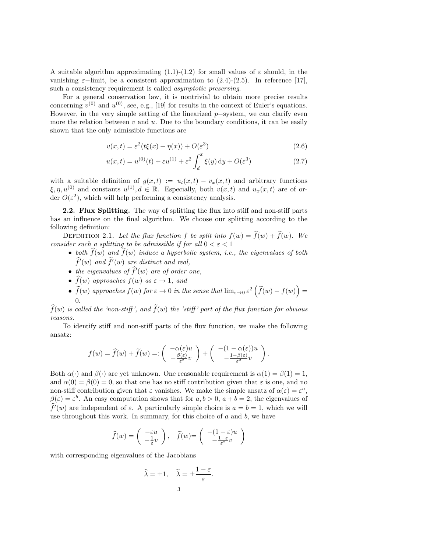A suitable algorithm approximating  $(1.1)-(1.2)$  for small values of  $\varepsilon$  should, in the vanishing  $\varepsilon$ −limit, be a consistent approximation to (2.4)-(2.5). In reference [17], such a consistency requirement is called asymptotic preserving.

For a general conservation law, it is nontrivial to obtain more precise results concerning  $v^{(0)}$  and  $u^{(0)}$ , see, e.g., [19] for results in the context of Euler's equations. However, in the very simple setting of the linearized  $p$ –system, we can clarify even more the relation between  $v$  and  $u$ . Due to the boundary conditions, it can be easily shown that the only admissible functions are

$$
v(x,t) = \varepsilon^2 (t\xi(x) + \eta(x)) + O(\varepsilon^3)
$$
\n(2.6)

$$
u(x,t) = u^{(0)}(t) + \varepsilon u^{(1)} + \varepsilon^2 \int_d^x \xi(y) \, dy + O(\varepsilon^3)
$$
 (2.7)

with a suitable definition of  $g(x,t) := u_t(x,t) - v_x(x,t)$  and arbitrary functions  $\xi, \eta, u^{(0)}$  and constants  $u^{(1)}, d \in \mathbb{R}$ . Especially, both  $v(x, t)$  and  $u_x(x, t)$  are of order  $O(\varepsilon^2)$ , which will help performing a consistency analysis.

2.2. Flux Splitting. The way of splitting the flux into stiff and non-stiff parts has an influence on the final algorithm. We choose our splitting according to the following definition:

DEFINITION 2.1. Let the flux function f be split into  $f(w) = \hat{f}(w) + \tilde{f}(w)$ . We consider such a splitting to be admissible if for all  $0 < \varepsilon < 1$ 

- both  $\widehat{f}(w)$  and  $\widetilde{f}(w)$  induce a hyperbolic system, i.e., the eigenvalues of both  $\widehat{f}'(w)$  and  $\widetilde{f}'(w)$  are distinct and real,
- the eigenvalues of  $\widehat{f}'(w)$  are of order one,
- $\widehat{f}(w)$  approaches  $f(w)$  as  $\varepsilon \to 1$ , and
- $\tilde{f}(w)$  approaches  $f(w)$  for  $\varepsilon \to 0$  in the sense that  $\lim_{\varepsilon \to 0} \varepsilon^2 \left( \tilde{f}(w) f(w) \right) =$ 0.

 $f(w)$  is called the 'non-stiff', and  $f(w)$  the 'stiff' part of the flux function for obvious reasons.

To identify stiff and non-stiff parts of the flux function, we make the following ansatz:

$$
f(w) = \hat{f}(w) + \tilde{f}(w) =: \begin{pmatrix} -\alpha(\varepsilon)u \\ -\frac{\beta(\varepsilon)}{\varepsilon^2}v \end{pmatrix} + \begin{pmatrix} -(1-\alpha(\varepsilon))u \\ -\frac{1-\beta(\varepsilon)}{\varepsilon^2}v \end{pmatrix}.
$$

Both  $\alpha(\cdot)$  and  $\beta(\cdot)$  are yet unknown. One reasonable requirement is  $\alpha(1) = \beta(1) = 1$ , and  $\alpha(0) = \beta(0) = 0$ , so that one has no stiff contribution given that  $\varepsilon$  is one, and no non-stiff contribution given that  $\varepsilon$  vanishes. We make the simple ansatz of  $\alpha(\varepsilon) = \varepsilon^a$ ,  $\beta(\varepsilon) = \varepsilon^{b}$ . An easy computation shows that for  $a, b > 0$ ,  $a + b = 2$ , the eigenvalues of  $\hat{f}^{\prime}(w)$  are independent of  $\varepsilon$ . A particularly simple choice is  $a = b = 1$ , which we will use throughout this work. In summary, for this choice of  $a$  and  $b$ , we have

$$
\widehat{f}(w) = \begin{pmatrix} -\varepsilon u \\ -\frac{1}{\varepsilon}v \end{pmatrix}, \quad \widetilde{f}(w) = \begin{pmatrix} -(1-\varepsilon)u \\ -\frac{1-\varepsilon}{\varepsilon^2}v \end{pmatrix}
$$

with corresponding eigenvalues of the Jacobians

$$
\widehat{\lambda} = \pm 1, \quad \widetilde{\lambda} = \pm \frac{1 - \varepsilon}{\varepsilon}.
$$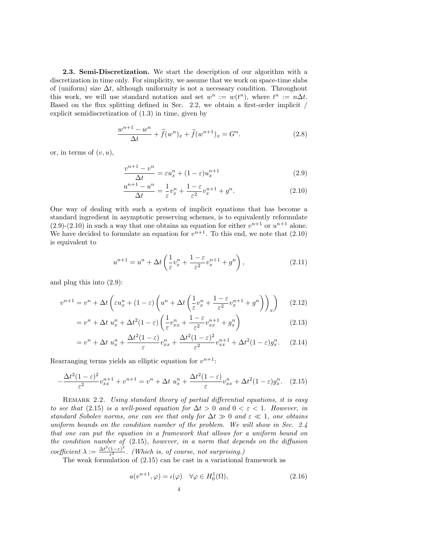2.3. Semi-Discretization. We start the description of our algorithm with a discretization in time only. For simplicity, we assume that we work on space-time slabs of (uniform) size  $\Delta t$ , although uniformity is not a necessary condition. Throughout this work, we will use standard notation and set  $w^n := w(t^n)$ , where  $t^n := n\Delta t$ . Based on the flux splitting defined in Sec. 2.2, we obtain a first-order implicit / explicit semidiscretization of (1.3) in time, given by

$$
\frac{w^{n+1} - w^n}{\Delta t} + \hat{f}(w^n)_x + \tilde{f}(w^{n+1})_x = G^n.
$$
 (2.8)

or, in terms of  $(v, u)$ ,

$$
\frac{v^{n+1} - v^n}{\Delta t} = \varepsilon u_x^n + (1 - \varepsilon)u_x^{n+1}
$$
\n(2.9)

$$
\frac{u^{n+1} - u^n}{\Delta t} = \frac{1}{\varepsilon} v_x^n + \frac{1 - \varepsilon}{\varepsilon^2} v_x^{n+1} + g^n. \tag{2.10}
$$

One way of dealing with such a system of implicit equations that has become a standard ingredient in asymptotic preserving schemes, is to equivalently reformulate  $(2.9)-(2.10)$  in such a way that one obtains an equation for either  $v^{n+1}$  or  $u^{n+1}$  alone. We have decided to formulate an equation for  $v^{n+1}$ . To this end, we note that  $(2.10)$ is equivalent to

$$
u^{n+1} = u^n + \Delta t \left(\frac{1}{\varepsilon} v_x^n + \frac{1-\varepsilon}{\varepsilon^2} v_x^{n+1} + g^n\right),\tag{2.11}
$$

and plug this into (2.9):

$$
v^{n+1} = v^n + \Delta t \left( \varepsilon u_x^n + (1 - \varepsilon) \left( u^n + \Delta t \left( \frac{1}{\varepsilon} v_x^n + \frac{1 - \varepsilon}{\varepsilon^2} v_x^{n+1} + g^n \right) \right)_x \right) \tag{2.12}
$$

$$
=v^{n} + \Delta t \ u_{x}^{n} + \Delta t^{2} (1-\varepsilon) \left(\frac{1}{\varepsilon} v_{xx}^{n} + \frac{1-\varepsilon}{\varepsilon^{2}} v_{xx}^{n+1} + g_{x}^{n}\right)
$$
\n(2.13)

$$
=v^n + \Delta t \ u_x^n + \frac{\Delta t^2 (1-\varepsilon)}{\varepsilon} v_{xx}^n + \frac{\Delta t^2 (1-\varepsilon)^2}{\varepsilon^2} v_{xx}^{n+1} + \Delta t^2 (1-\varepsilon) g_x^n. \tag{2.14}
$$

Rearranging terms yields an elliptic equation for  $v^{n+1}$ :

$$
-\frac{\Delta t^2 (1-\varepsilon)^2}{\varepsilon^2} v_{xx}^{n+1} + v^{n+1} = v^n + \Delta t \ u_x^n + \frac{\Delta t^2 (1-\varepsilon)}{\varepsilon} v_{xx}^n + \Delta t^2 (1-\varepsilon) g_x^n. \tag{2.15}
$$

REMARK 2.2. Using standard theory of partial differential equations, it is easy to see that (2.15) is a well-posed equation for  $\Delta t > 0$  and  $0 < \varepsilon < 1$ . However, in standard Sobolev norms, one can see that only for  $\Delta t \gg 0$  and  $\varepsilon \ll 1$ , one obtains uniform bounds on the condition number of the problem. We will show in Sec. 2.4 that one can put the equation in a framework that allows for a uniform bound on the condition number of (2.15), however, in a norm that depends on the diffusion coefficient  $\lambda := \frac{\Delta t^2 (1-\varepsilon)^2}{\varepsilon^2}$  $\frac{(1-\varepsilon)}{\varepsilon^2}$ . (Which is, of course, not surprising.)

The weak formulation of  $(2.15)$  can be cast in a variational framework as

$$
a(v^{n+1}, \varphi) = \iota(\varphi) \quad \forall \varphi \in H_0^1(\Omega),
$$
\n
$$
4 \tag{2.16}
$$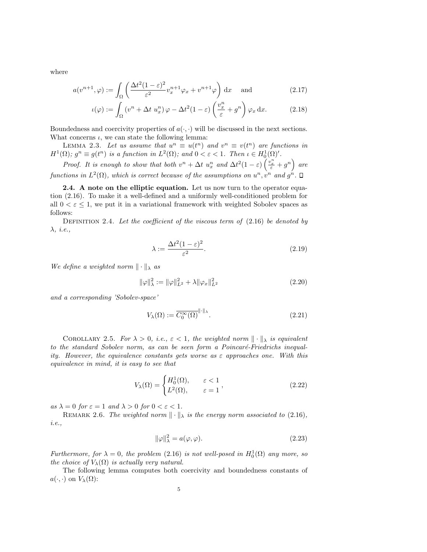where

$$
a(v^{n+1}, \varphi) := \int_{\Omega} \left( \frac{\Delta t^2 (1 - \varepsilon)^2}{\varepsilon^2} v_x^{n+1} \varphi_x + v^{n+1} \varphi \right) dx \quad \text{and} \tag{2.17}
$$

$$
\iota(\varphi) := \int_{\Omega} \left( v^n + \Delta t \ u_x^n \right) \varphi - \Delta t^2 (1 - \varepsilon) \left( \frac{v_x^n}{\varepsilon} + g^n \right) \varphi_x \, dx. \tag{2.18}
$$

Boundedness and coercivity properties of  $a(\cdot, \cdot)$  will be discussed in the next sections. What concerns  $\iota$ , we can state the following lemma:

LEMMA 2.3. Let us assume that  $u^n \equiv u(t^n)$  and  $v^n \equiv v(t^n)$  are functions in  $H^1(\Omega)$ ;  $g^n \equiv g(t^n)$  is a function in  $L^2(\Omega)$ ; and  $0 < \varepsilon < 1$ . Then  $\iota \in H_0^1(\Omega)'$ .

Proof. It is enough to show that both  $v^n + \Delta t$   $u_x^n$  and  $\Delta t^2(1-\varepsilon)\left(\frac{v_x^n}{\varepsilon} + g^n\right)$  are functions in  $L^2(\Omega)$ , which is correct because of the assumptions on  $u^n, v^n$  and  $g^n$ .

2.4. A note on the elliptic equation. Let us now turn to the operator equation (2.16). To make it a well-defined and a uniformly well-conditioned problem for all  $0 \lt \varepsilon \lt 1$ , we put it in a variational framework with weighted Sobolev spaces as follows:

DEFINITION 2.4. Let the coefficient of the viscous term of  $(2.16)$  be denoted by λ, i.e.,

$$
\lambda := \frac{\Delta t^2 (1 - \varepsilon)^2}{\varepsilon^2}.
$$
\n(2.19)

We define a weighted norm  $\|\cdot\|_{\lambda}$  as

$$
\|\varphi\|_{\lambda}^{2} := \|\varphi\|_{L^{2}}^{2} + \lambda \|\varphi_{x}\|_{L^{2}}^{2}
$$
\n(2.20)

and a corresponding 'Sobolev-space'

$$
V_{\lambda}(\Omega) := \overline{C_0^{\infty}(\Omega)}^{\|\cdot\|_{\lambda}}.
$$
\n(2.21)

COROLLARY 2.5. For  $\lambda > 0$ , i.e.,  $\varepsilon < 1$ , the weighted norm  $\|\cdot\|_{\lambda}$  is equivalent to the standard Sobolev norm, as can be seen form a Poincaré-Friedrichs inequality. However, the equivalence constants gets worse as  $\varepsilon$  approaches one. With this equivalence in mind, it is easy to see that

$$
V_{\lambda}(\Omega) = \begin{cases} H_0^1(\Omega), & \varepsilon < 1 \\ L^2(\Omega), & \varepsilon = 1 \end{cases},
$$
\n(2.22)

as  $\lambda = 0$  for  $\varepsilon = 1$  and  $\lambda > 0$  for  $0 < \varepsilon < 1$ .

REMARK 2.6. The weighted norm  $\|\cdot\|_{\lambda}$  is the energy norm associated to (2.16), i.e.,

$$
\|\varphi\|_{\lambda}^2 = a(\varphi, \varphi). \tag{2.23}
$$

Furthermore, for  $\lambda = 0$ , the problem (2.16) is not well-posed in  $H_0^1(\Omega)$  any more, so the choice of  $V_{\lambda}(\Omega)$  is actually very natural.

The following lemma computes both coercivity and boundedness constants of  $a(\cdot, \cdot)$  on  $V_{\lambda}(\Omega)$ :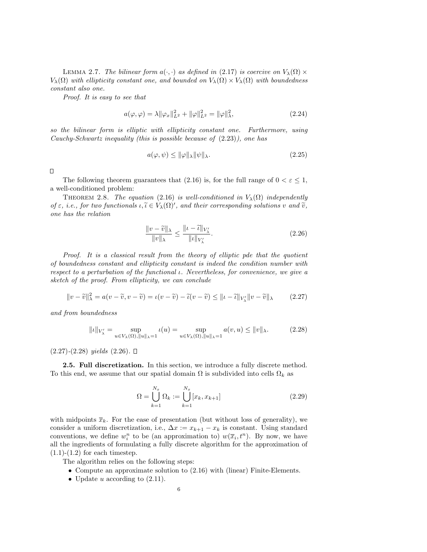LEMMA 2.7. The bilinear form  $a(\cdot, \cdot)$  as defined in (2.17) is coercive on  $V_{\lambda}(\Omega) \times$  $V_\lambda(\Omega)$  with ellipticity constant one, and bounded on  $V_\lambda(\Omega) \times V_\lambda(\Omega)$  with boundedness constant also one.

Proof. It is easy to see that

$$
a(\varphi, \varphi) = \lambda \|\varphi_x\|_{L^2}^2 + \|\varphi\|_{L^2}^2 = \|\varphi\|_{\lambda}^2,
$$
\n(2.24)

so the bilinear form is elliptic with ellipticity constant one. Furthermore, using Cauchy-Schwartz inequality (this is possible because of (2.23)), one has

$$
a(\varphi, \psi) \le \|\varphi\|_{\lambda} \|\psi\|_{\lambda}.
$$
\n(2.25)

 $\Box$ 

The following theorem guarantees that (2.16) is, for the full range of  $0 < \varepsilon \leq 1$ , a well-conditioned problem:

THEOREM 2.8. The equation (2.16) is well-conditioned in  $V_\lambda(\Omega)$  independently of  $\varepsilon$ , i.e., for two functionals  $\iota, \widetilde{\iota} \in V_{\lambda}(\Omega)'$ , and their corresponding solutions v and  $\widetilde{v}$ ,<br>one has the relation one has the relation

$$
\frac{\|v - \widetilde{v}\|_{\lambda}}{\|v\|_{\lambda}} \le \frac{\|u - \widetilde{v}\|_{V'_{\lambda}}}{\|u\|_{V'_{\lambda}}}.
$$
\n(2.26)

Proof. It is a classical result from the theory of elliptic pde that the quotient of boundedness constant and ellipticity constant is indeed the condition number with respect to a perturbation of the functional ι. Nevertheless, for convenience, we give a sketch of the proof. From ellipticity, we can conclude

$$
||v - \widetilde{v}||_{\lambda}^2 = a(v - \widetilde{v}, v - \widetilde{v}) = \iota(v - \widetilde{v}) - \widetilde{\iota}(v - \widetilde{v}) \le ||\iota - \widetilde{\iota}||_{V_{\lambda}'} ||v - \widetilde{v}||_{\lambda}
$$
 (2.27)

and from boundedness

$$
||\iota||_{V'_{\lambda}} = \sup_{u \in V_{\lambda}(\Omega), ||u||_{\lambda} = 1} \iota(u) = \sup_{u \in V_{\lambda}(\Omega), ||u||_{\lambda} = 1} a(v, u) \le ||v||_{\lambda}.
$$
 (2.28)

 $(2.27)-(2.28)$  yields  $(2.26)$ .  $\Box$ 

**2.5. Full discretization.** In this section, we introduce a fully discrete method. To this end, we assume that our spatial domain  $\Omega$  is subdivided into cells  $\Omega_k$  as

$$
\Omega = \bigcup_{k=1}^{N_x} \Omega_k := \bigcup_{k=1}^{N_x} [x_k, x_{k+1}]
$$
\n(2.29)

with midpoints  $\bar{x}_k$ . For the ease of presentation (but without loss of generality), we consider a uniform discretization, i.e.,  $\Delta x := x_{k+1} - x_k$  is constant. Using standard conventions, we define  $w_i^n$  to be (an approximation to)  $w(\overline{x}_i, t^n)$ . By now, we have all the ingredients of formulating a fully discrete algorithm for the approximation of  $(1.1)-(1.2)$  for each timestep.

The algorithm relies on the following steps:

- Compute an approximate solution to (2.16) with (linear) Finite-Elements.
- Update  $u$  according to  $(2.11)$ .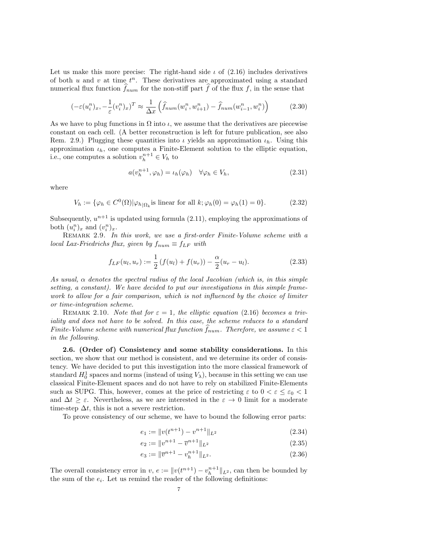Let us make this more precise: The right-hand side  $\iota$  of (2.16) includes derivatives of both  $u$  and  $v$  at time  $t^n$ . These derivatives are approximated using a standard numerical flux function  $f_{num}$  for the non-stiff part f of the flux f, in the sense that

$$
\left(-\varepsilon(u_i^n)_x, -\frac{1}{\varepsilon}(v_i^n)_x\right)^T \approx \frac{1}{\Delta x} \left(\hat{f}_{num}(w_i^n, w_{i+1}^n) - \hat{f}_{num}(w_{i-1}^n, w_i^n)\right) \tag{2.30}
$$

As we have to plug functions in  $\Omega$  into  $\iota$ , we assume that the derivatives are piecewise constant on each cell. (A better reconstruction is left for future publication, see also Rem. 2.9.) Plugging these quantities into  $\iota$  yields an approximation  $\iota_h$ . Using this approximation  $\iota_h$ , one computes a Finite-Element solution to the elliptic equation, i.e., one computes a solution  $v_h^{n+1} \in V_h$  to

$$
a(v_h^{n+1}, \varphi_h) = \iota_h(\varphi_h) \quad \forall \varphi_h \in V_h,
$$
\n(2.31)

where

$$
V_h := \{ \varphi_h \in C^0(\Omega) | \varphi_{h|\Omega_k} \text{is linear for all } k; \varphi_h(0) = \varphi_h(1) = 0 \}. \tag{2.32}
$$

Subsequently,  $u^{n+1}$  is updated using formula (2.11), employing the approximations of both  $(u_i^n)_x$  and  $(v_i^n)_x$ .

REMARK 2.9. In this work, we use a first-order Finite-Volume scheme with a local Lax-Friedrichs flux, given by  $f_{num} \equiv f_{LF}$  with

$$
f_{LF}(u_l, u_r) := \frac{1}{2} \left( f(u_l) + f(u_r) \right) - \frac{\alpha}{2} (u_r - u_l). \tag{2.33}
$$

As usual, α denotes the spectral radius of the local Jacobian (which is, in this simple setting, a constant). We have decided to put our investigations in this simple framework to allow for a fair comparison, which is not influenced by the choice of limiter or time-integration scheme.

REMARK 2.10. Note that for  $\varepsilon = 1$ , the elliptic equation (2.16) becomes a triviality and does not have to be solved. In this case, the scheme reduces to a standard Finite-Volume scheme with numerical flux function  $\widehat{f}_{num}$ . Therefore, we assume  $\varepsilon < 1$ in the following.

2.6. (Order of) Consistency and some stability considerations. In this section, we show that our method is consistent, and we determine its order of consistency. We have decided to put this investigation into the more classical framework of standard  $H_0^1$  spaces and norms (instead of using  $V_\lambda$ ), because in this setting we can use classical Finite-Element spaces and do not have to rely on stabilized Finite-Elements such as SUPG. This, however, comes at the price of restricting  $\varepsilon$  to  $0 < \varepsilon \leq \varepsilon_0 < 1$ and  $\Delta t \geq \varepsilon$ . Nevertheless, as we are interested in the  $\varepsilon \to 0$  limit for a moderate time-step  $\Delta t$ , this is not a severe restriction.

To prove consistency of our scheme, we have to bound the following error parts:

$$
e_1 := \|v(t^{n+1}) - v^{n+1}\|_{L^2}
$$
\n(2.34)

$$
e_2 := \|v^{n+1} - \overline{v}^{n+1}\|_{L^2}
$$
\n
$$
(2.35)
$$

$$
e_3 := \|\overline{v}^{n+1} - v_h^{n+1}\|_{L^2}.\tag{2.36}
$$

The overall consistency error in  $v, e := ||v(t^{n+1}) - v_h^{n+1}||_{L^2}$ , can then be bounded by the sum of the  $e_i$ . Let us remind the reader of the following definitions: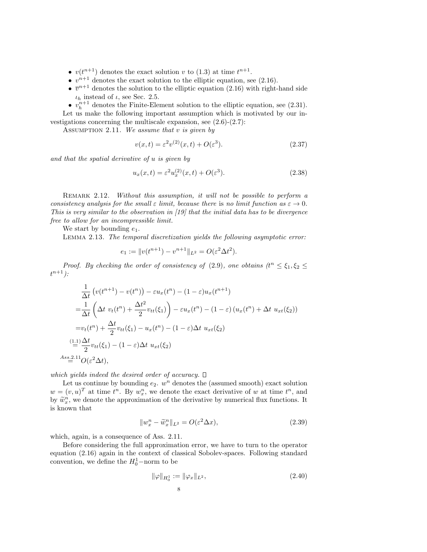- $v(t^{n+1})$  denotes the exact solution v to (1.3) at time  $t^{n+1}$ .
- $v^{n+1}$  denotes the exact solution to the elliptic equation, see (2.16).
- $\bar{v}^{n+1}$  denotes the solution to the elliptic equation (2.16) with right-hand side  $\iota_h$  instead of  $\iota,$  see Sec. 2.5.

•  $v_h^{n+1}$  denotes the Finite-Element solution to the elliptic equation, see (2.31). Let us make the following important assumption which is motivated by our investigations concerning the multiscale expansion, see (2.6)-(2.7):

ASSUMPTION 2.11. We assume that  $v$  is given by

$$
v(x,t) = \varepsilon^2 v^{(2)}(x,t) + O(\varepsilon^3). \tag{2.37}
$$

and that the spatial derivative of u is given by

$$
u_x(x,t) = \varepsilon^2 u_x^{(2)}(x,t) + O(\varepsilon^3). \tag{2.38}
$$

REMARK 2.12. Without this assumption, it will not be possible to perform a consistency analysis for the small  $\varepsilon$  limit, because there is no limit function as  $\varepsilon \to 0$ . This is very similar to the observation in [19] that the initial data has to be divergence free to allow for an incompressible limit.

We start by bounding  $e_1$ .

Lemma 2.13. The temporal discretization yields the following asymptotic error:

$$
e_1 := ||v(t^{n+1}) - v^{n+1}||_{L^2} = O(\varepsilon^2 \Delta t^2).
$$

Proof. By checking the order of consistency of (2.9), one obtains  $(t^{n} \leq \xi_{1}, \xi_{2} \leq$  $t^{n+1}$ ):

$$
\frac{1}{\Delta t} \left( v(t^{n+1}) - v(t^n) \right) - \varepsilon u_x(t^n) - (1 - \varepsilon) u_x(t^{n+1})
$$
\n
$$
= \frac{1}{\Delta t} \left( \Delta t \ v_t(t^n) + \frac{\Delta t^2}{2} v_{tt}(\xi_1) \right) - \varepsilon u_x(t^n) - (1 - \varepsilon) \left( u_x(t^n) + \Delta t \ u_{xt}(\xi_2) \right)
$$
\n
$$
= v_t(t^n) + \frac{\Delta t}{2} v_{tt}(\xi_1) - u_x(t^n) - (1 - \varepsilon) \Delta t \ u_{xt}(\xi_2)
$$
\n
$$
\stackrel{(1.1)}{=} \frac{\Delta t}{2} v_{tt}(\xi_1) - (1 - \varepsilon) \Delta t \ u_{xt}(\xi_2)
$$
\n
$$
A_{ss} = \stackrel{(1.1)}{=} O(\varepsilon^2 \Delta t),
$$

which yields indeed the desired order of accuracy.  $\Box$ 

Let us continue by bounding  $e_2$ .  $w^n$  denotes the (assumed smooth) exact solution  $w = (v, u)^T$  at time  $t^n$ . By  $w_x^n$ , we denote the exact derivative of w at time  $t^n$ , and by  $\tilde{w}_x^n$ , we denote the approximation of the derivative by numerical flux functions. It is known that is known that

$$
||w_x^n - \tilde{w}_x^n||_{L^2} = O(\varepsilon^2 \Delta x), \qquad (2.39)
$$

which, again, is a consequence of Ass. 2.11.

Before considering the full approximation error, we have to turn to the operator equation (2.16) again in the context of classical Sobolev-spaces. Following standard convention, we define the  $H_0^1$ -norm to be

$$
\|\varphi\|_{H_0^1} := \|\varphi_x\|_{L^2},\tag{2.40}
$$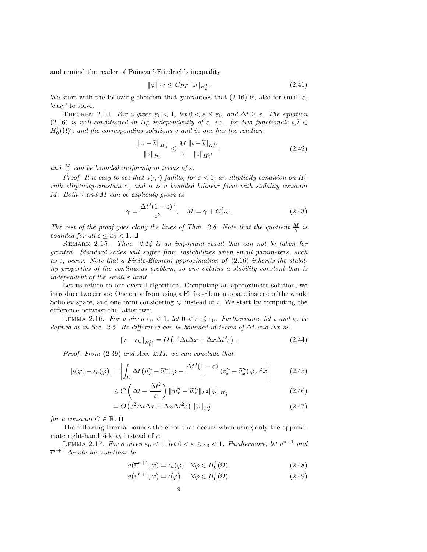and remind the reader of Poincaré-Friedrich's inequality

$$
\|\varphi\|_{L^2} \le C_{PF} \|\varphi\|_{H_0^1}.
$$
\n(2.41)

We start with the following theorem that guarantees that (2.16) is, also for small  $\varepsilon$ , 'easy' to solve.

THEOREM 2.14. For a given  $\varepsilon_0 < 1$ , let  $0 < \varepsilon \leq \varepsilon_0$ , and  $\Delta t \geq \varepsilon$ . The equation (2.16) is well-conditioned in  $H_0^1$  independently of  $\varepsilon$ , i.e., for two functionals  $\iota, \tilde{\iota} \in H^1(\Omega)'$  and the corresponding solutions  $\iota$ , and  $\tilde{\iota}$  and the relation  $H_0^1(\Omega)'$ , and the corresponding solutions v and  $\tilde{v}$ , one has the relation

$$
\frac{\|v - \widetilde{v}\|_{H_0^1}}{\|v\|_{H_0^1}} \le \frac{M}{\gamma} \frac{\|v - \widetilde{v}\|_{H_0^{1'}}}{\|v\|_{H_0^{1'}}},\tag{2.42}
$$

and  $\frac{M}{\gamma}$  can be bounded uniformly in terms of  $\varepsilon$ .

Proof. It is easy to see that  $a(\cdot, \cdot)$  fulfills, for  $\varepsilon < 1$ , an ellipticity condition on  $H_0^1$ with ellipticity-constant  $\gamma$ , and it is a bounded bilinear form with stability constant M. Both  $\gamma$  and M can be explicitly given as

$$
\gamma = \frac{\Delta t^2 (1 - \varepsilon)^2}{\varepsilon^2}, \quad M = \gamma + C_{PF}^2.
$$
 (2.43)

The rest of the proof goes along the lines of Thm. 2.8. Note that the quotient  $\frac{M}{\gamma}$  is bounded for all  $\varepsilon \leq \varepsilon_0 < 1$ .  $\Box$ 

REMARK 2.15. Thm. 2.14 is an important result that can not be taken for granted. Standard codes will suffer from instabilities when small parameters, such as  $\varepsilon$ , occur. Note that a Finite-Element approximation of (2.16) inherits the stability properties of the continuous problem, so one obtains a stability constant that is independent of the small  $\varepsilon$  limit.

Let us return to our overall algorithm. Computing an approximate solution, we introduce two errors: One error from using a Finite-Element space instead of the whole Sobolev space, and one from considering  $\iota_h$  instead of  $\iota$ . We start by computing the difference between the latter two:

LEMMA 2.16. For a given  $\varepsilon_0 < 1$ , let  $0 < \varepsilon \leq \varepsilon_0$ . Furthermore, let  $\iota$  and  $\iota_h$  be defined as in Sec. 2.5. Its difference can be bounded in terms of  $\Delta t$  and  $\Delta x$  as

$$
\|t - t_h\|_{H_0^1} = O\left(\varepsilon^2 \Delta t \Delta x + \Delta x \Delta t^2 \varepsilon\right).
$$
 (2.44)

Proof. From (2.39) and Ass. 2.11, we can conclude that

$$
|\iota(\varphi) - \iota_h(\varphi)| = \left| \int_{\Omega} \Delta t \left( u_x^n - \widetilde{u}_x^n \right) \varphi - \frac{\Delta t^2 (1 - \varepsilon)}{\varepsilon} \left( v_x^n - \widetilde{v}_x^n \right) \varphi_x \, dx \right| \tag{2.45}
$$

$$
\leq C\left(\Delta t + \frac{\Delta t^2}{\varepsilon}\right) \|w_x^n - \widetilde{w}_x^n\|_{L^2} \|\varphi\|_{H_0^1} \tag{2.46}
$$

$$
= O\left(\varepsilon^2 \Delta t \Delta x + \Delta x \Delta t^2 \varepsilon\right) \|\varphi\|_{H_0^1}
$$
\n(2.47)

for a constant  $C \in \mathbb{R}$ .  $\square$ 

The following lemma bounds the error that occurs when using only the approximate right-hand side  $\iota_h$  instead of  $\iota$ :

LEMMA 2.17. For a given  $\varepsilon_0 < 1$ , let  $0 < \varepsilon \leq \varepsilon_0 < 1$ . Furthermore, let  $v^{n+1}$  and  $\overline{v}^{n+1}$  denote the solutions to

$$
a(\overline{v}^{n+1}, \varphi) = \iota_h(\varphi) \quad \forall \varphi \in H_0^1(\Omega), \tag{2.48}
$$

$$
a(v^{n+1}, \varphi) = \iota(\varphi) \qquad \forall \varphi \in H_0^1(\Omega). \tag{2.49}
$$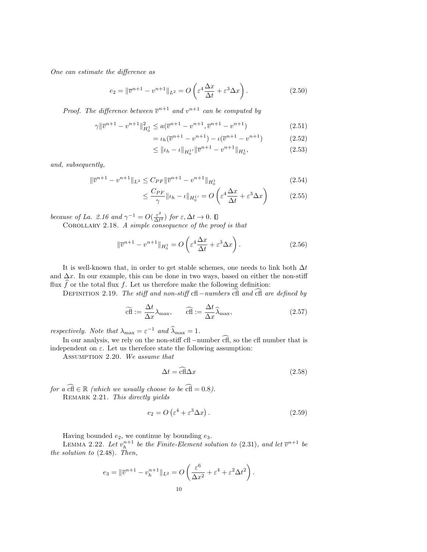One can estimate the difference as

$$
e_2 = \|\overline{v}^{n+1} - v^{n+1}\|_{L^2} = O\left(\varepsilon^4 \frac{\Delta x}{\Delta t} + \varepsilon^3 \Delta x\right).
$$
 (2.50)

*Proof.* The difference between  $\overline{v}^{n+1}$  and  $v^{n+1}$  can be computed by

$$
\gamma \|\overline{v}^{n+1} - v^{n+1}\|_{H_0^1}^2 \le a(\overline{v}^{n+1} - v^{n+1}, \overline{v}^{n+1} - v^{n+1})
$$
\n(2.51)

$$
= \iota_h(\overline{v}^{n+1} - v^{n+1}) - \iota(\overline{v}^{n+1} - v^{n+1})
$$
\n(2.52)

$$
\leq ||\iota_h - \iota||_{H_0^{1'}} ||\overline{v}^{n+1} - v^{n+1}||_{H_0^1},
$$
\n(2.53)

and, subsequently,

$$
\|\overline{v}^{n+1} - v^{n+1}\|_{L^2} \le C_{PF} \|\overline{v}^{n+1} - v^{n+1}\|_{H_0^1}
$$
\n(2.54)

$$
\leq \frac{C_{PF}}{\gamma} \| \iota_h - \iota \|_{H_0^{1'}} = O\left(\varepsilon^4 \frac{\Delta x}{\Delta t} + \varepsilon^3 \Delta x\right) \tag{2.55}
$$

because of La. 2.16 and  $\gamma^{-1} = O(\frac{\varepsilon^2}{\Delta t})$  $\frac{\varepsilon^2}{\Delta t^2}$ ) for  $\varepsilon, \Delta t \to 0$ .

COROLLARY 2.18. A simple consequence of the proof is that

$$
\|\overline{v}^{n+1} - v^{n+1}\|_{H_0^1} = O\left(\varepsilon^4 \frac{\Delta x}{\Delta t} + \varepsilon^3 \Delta x\right). \tag{2.56}
$$

It is well-known that, in order to get stable schemes, one needs to link both  $\Delta t$ and  $\Delta x$ . In our example, this can be done in two ways, based on either the non-stiff flux f or the total flux f. Let us therefore make the following definition:

DEFINITION 2.19. The stiff and non-stiff cfl −numbers cfl and cfl are defined by

$$
\widetilde{\text{eff}} := \frac{\Delta t}{\Delta x} \lambda_{\text{max}}, \qquad \widehat{\text{eff}} := \frac{\Delta t}{\Delta x} \widehat{\lambda}_{\text{max}}, \tag{2.57}
$$

respectively. Note that  $\lambda_{\text{max}} = \varepsilon^{-1}$  and  $\widehat{\lambda}_{\text{max}} = 1$ .

In our analysis, we rely on the non-stiff cfl −number  $\widehat{cfH}$ , so the cfl number that is independent on  $\varepsilon$ . Let us therefore state the following assumption:

Assumption 2.20. We assume that

$$
\Delta t = \widehat{\text{cfl}} \Delta x \tag{2.58}
$$

for a  $\widehat{\text{cf}} \in \mathbb{R}$  (which we usually choose to be  $\widehat{\text{cf}} = 0.8$ ). Remark 2.21. This directly yields

$$
e_2 = O\left(\varepsilon^4 + \varepsilon^3 \Delta x\right). \tag{2.59}
$$

Having bounded  $e_2$ , we continue by bounding  $e_3$ .

LEMMA 2.22. Let  $v_h^{n+1}$  be the Finite-Element solution to (2.31), and let  $\overline{v}^{n+1}$  be the solution to (2.48). Then,

$$
e_3 = \|\overline{v}^{n+1} - v_h^{n+1}\|_{L^2} = O\left(\frac{\varepsilon^6}{\Delta x^2} + \varepsilon^4 + \varepsilon^2 \Delta t^2\right).
$$
  

$$
10
$$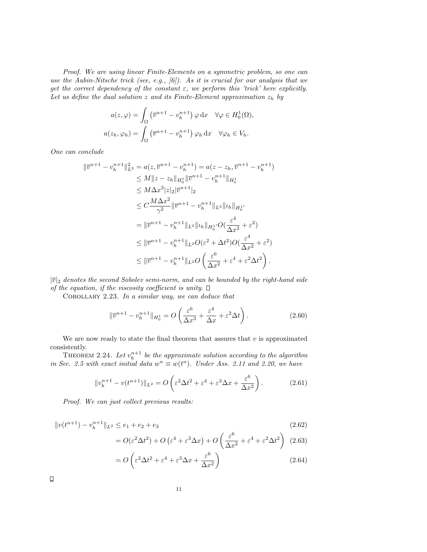Proof. We are using linear Finite-Elements on a symmetric problem, so one can use the Aubin-Nitsche trick (see, e.g.,  $[6]$ ). As it is crucial for our analysis that we get the correct dependency of the constant  $\varepsilon$ , we perform this 'trick' here explicitly. Let us define the dual solution z and its Finite-Element approximation  $z_h$  by

$$
a(z, \varphi) = \int_{\Omega} \left( \overline{v}^{n+1} - v_h^{n+1} \right) \varphi \, dx \quad \forall \varphi \in H_0^1(\Omega),
$$

$$
a(z_h, \varphi_h) = \int_{\Omega} \left( \overline{v}^{n+1} - v_h^{n+1} \right) \varphi_h \, dx \quad \forall \varphi_h \in V_h.
$$

One can conclude

$$
\begin{split} \|\overline{v}^{n+1} - v_h^{n+1}\|_{L^2}^2 &= a(z, \overline{v}^{n+1} - v_h^{n+1}) = a(z - z_h, \overline{v}^{n+1} - v_h^{n+1}) \\ &\le M \|z - z_h\|_{H_0^1} \|\overline{v}^{n+1} - v_h^{n+1}\|_{H_0^1} \\ &\le M \Delta x^2 |z|_2 |\overline{v}^{n+1}|_2 \\ &\le C \frac{M \Delta x^2}{\gamma^2} \|\overline{v}^{n+1} - v_h^{n+1}\|_{L^2} \|u_h\|_{H_0^1} \\ &= \|\overline{v}^{n+1} - v_h^{n+1}\|_{L^2} \|u_h\|_{H_0^1} O\left(\frac{\varepsilon^4}{\Delta x^2} + \varepsilon^2\right) \\ &\le \|\overline{v}^{n+1} - v_h^{n+1}\|_{L^2} O(\varepsilon^2 + \Delta t^2) O\left(\frac{\varepsilon^4}{\Delta x^2} + \varepsilon^2\right) \\ &\le \|\overline{v}^{n+1} - v_h^{n+1}\|_{L^2} O\left(\frac{\varepsilon^6}{\Delta x^2} + \varepsilon^4 + \varepsilon^2 \Delta t^2\right). \end{split}
$$

 $|\overline{v}|_2$  denotes the second Sobolev semi-norm, and can be bounded by the right-hand side of the equation, if the viscosity coefficient is unity.  $\Box$ 

COROLLARY 2.23. In a similar way, we can deduce that

$$
\|\overline{v}^{n+1} - v_h^{n+1}\|_{H_0^1} = O\left(\frac{\varepsilon^6}{\Delta x^3} + \frac{\varepsilon^4}{\Delta x} + \varepsilon^2 \Delta t\right). \tag{2.60}
$$

We are now ready to state the final theorem that assures that  $v$  is approximated consistently.

THEOREM 2.24. Let  $v_h^{n+1}$  be the approximate solution according to the algorithm in Sec. 2.5 with exact initial data  $w^n \equiv w(t^n)$ . Under Ass. 2.11 and 2.20, we have

$$
||v_h^{n+1} - v(t^{n+1})||_{L^2} = O\left(\varepsilon^2 \Delta t^2 + \varepsilon^4 + \varepsilon^3 \Delta x + \frac{\varepsilon^6}{\Delta x^2}\right).
$$
 (2.61)

Proof. We can just collect previous results:

$$
||v(t^{n+1}) - v_h^{n+1}||_{L^2} \le e_1 + e_2 + e_3
$$
\n(2.62)

$$
= O(\varepsilon^2 \Delta t^2) + O\left(\varepsilon^4 + \varepsilon^3 \Delta x\right) + O\left(\frac{\varepsilon^6}{\Delta x^2} + \varepsilon^4 + \varepsilon^2 \Delta t^2\right) (2.63)
$$

$$
=O\left(\varepsilon^2 \Delta t^2 + \varepsilon^4 + \varepsilon^3 \Delta x + \frac{\varepsilon^6}{\Delta x^2}\right) \tag{2.64}
$$

 $\Box$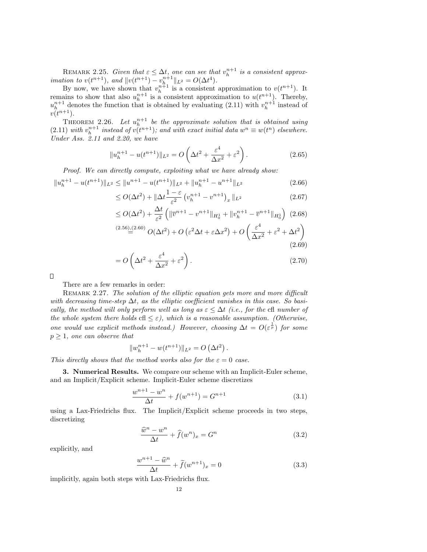REMARK 2.25. Given that  $\varepsilon \leq \Delta t$ , one can see that  $v_h^{n+1}$  is a consistent approximation to  $v(t^{n+1})$ , and  $||v(t^{n+1}) - v_{h}^{n+1}||_{L^2} = O(\Delta t^4)$ .

By now, we have shown that  $v_h^{n+1}$  is a consistent approximation to  $v(t^{n+1})$ . It remains to show that also  $u_h^{n+1}$  is a consistent approximation to  $u(t^{n+1})$ . Thereby,  $u_h^{n+1}$  denotes the function that is obtained by evaluating (2.11) with  $v_h^{n+1}$  instead of  $v(t^{n+1}).$ 

THEOREM 2.26. Let  $u_h^{n+1}$  be the approximate solution that is obtained using (2.11) with  $v_h^{n+1}$  instead of  $v(t^{n+1})$ ; and with exact initial data  $w^n \equiv w(t^n)$  elsewhere. Under Ass. 2.11 and 2.20, we have

$$
||u_h^{n+1} - u(t^{n+1})||_{L^2} = O\left(\Delta t^2 + \frac{\varepsilon^4}{\Delta x^2} + \varepsilon^2\right).
$$
 (2.65)

Proof. We can directly compute, exploiting what we have already show:

$$
||u_h^{n+1} - u(t^{n+1})||_{L^2} \le ||u^{n+1} - u(t^{n+1})||_{L^2} + ||u_h^{n+1} - u^{n+1}||_{L^2}
$$
\n(2.66)

$$
\leq O(\Delta t^2) + \|\Delta t \frac{1-\varepsilon}{\varepsilon^2} \left( v_h^{n+1} - v^{n+1} \right)_x \|_{L^2}
$$
\n(2.67)

$$
\leq O(\Delta t^2) + \frac{\Delta t}{\varepsilon^2} \left( \|\overline{v}^{n+1} - v^{n+1}\|_{H_0^1} + \|v_h^{n+1} - \overline{v}^{n+1}\|_{H_0^1} \right) (2.68)
$$

$$
^{(2.56),(2.60)}C(\Delta t^2) + O\left(\varepsilon^2 \Delta t + \varepsilon \Delta x^2\right) + O\left(\frac{\varepsilon^4}{\Delta x^2} + \varepsilon^2 + \Delta t^2\right)
$$
\n
$$
(2.69)
$$

$$
= O\left(\Delta t^2 + \frac{\varepsilon^4}{\Delta x^2} + \varepsilon^2\right).
$$
\n(2.70)

 $\Box$ 

There are a few remarks in order:

REMARK 2.27. The solution of the elliptic equation gets more and more difficult with decreasing time-step  $\Delta t$ , as the elliptic coefficient vanishes in this case. So basically, the method will only perform well as long as  $\varepsilon \leq \Delta t$  (i.e., for the cfl number of the whole system there holds cfl  $\leq \varepsilon$ ), which is a reasonable assumption. (Otherwise, one would use explicit methods instead.) However, choosing  $\Delta t = O(\varepsilon^{\frac{1}{p}})$  for some  $p \geq 1$ , one can observe that

$$
||w_h^{n+1} - w(t^{n+1})||_{L^2} = O(\Delta t^2).
$$

This directly shows that the method works also for the  $\varepsilon = 0$  case.

3. Numerical Results. We compare our scheme with an Implicit-Euler scheme, and an Implicit/Explicit scheme. Implicit-Euler scheme discretizes

$$
\frac{w^{n+1} - w^n}{\Delta t} + f(w^{n+1}) = G^{n+1}
$$
\n(3.1)

using a Lax-Friedrichs flux. The Implicit/Explicit scheme proceeds in two steps, discretizing

$$
\frac{\widehat{w}^n - w^n}{\Delta t} + \widehat{f}(w^n)_x = G^n \tag{3.2}
$$

explicitly, and

$$
\frac{w^{n+1} - \widehat{w}^n}{\Delta t} + \widetilde{f}(w^{n+1})_x = 0
$$
\n(3.3)

implicitly, again both steps with Lax-Friedrichs flux.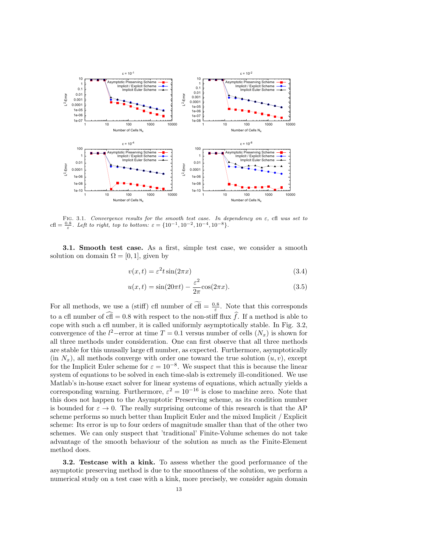

FIG. 3.1. Convergence results for the smooth test case. In dependency on  $\varepsilon$ , cfl was set to cfl =  $\frac{0.8}{\varepsilon}$ . Left to right, top to bottom:  $\varepsilon = \{10^{-1}, 10^{-2}, 10^{-4}, 10^{-8}\}.$ 

**3.1.** Smooth test case. As a first, simple test case, we consider a smooth solution on domain  $\Omega = [0, 1]$ , given by

$$
v(x,t) = \varepsilon^2 t \sin(2\pi x) \tag{3.4}
$$

$$
u(x,t) = \sin(20\pi t) - \frac{\varepsilon^2}{2\pi}\cos(2\pi x). \tag{3.5}
$$

For all methods, we use a (stiff) cfl number of  $\overline{cf} = \frac{0.8}{\varepsilon}$ . Note that this corresponds to a cfl number of  $\widehat{\text{cf}} = 0.8$  with respect to the non-stiff flux  $\widehat{f}$ . If a method is able to cope with such a cfl number, it is called uniformly asymptotically stable. In Fig. 3.2, convergence of the  $l^2$ -error at time  $T = 0.1$  versus number of cells  $(N_x)$  is shown for all three methods under consideration. One can first observe that all three methods are stable for this unusally large cfl number, as expected. Furthermore, asymptotically  $(in N<sub>x</sub>)$ , all methods converge with order one toward the true solution  $(u, v)$ , except for the Implicit Euler scheme for  $\varepsilon = 10^{-8}$ . We suspect that this is because the linear system of equations to be solved in each time-slab is extremely ill-conditioned. We use Matlab's in-house exact solver for linear systems of equations, which actually yields a corresponding warning. Furthermore,  $\varepsilon^2 = 10^{-16}$  is close to machine zero. Note that this does not happen to the Asymptotic Preserving scheme, as its condition number is bounded for  $\varepsilon \to 0$ . The really surprising outcome of this research is that the AP scheme performs so much better than Implicit Euler and the mixed Implicit / Explicit scheme: Its error is up to four orders of magnitude smaller than that of the other two schemes. We can only suspect that 'traditional' Finite-Volume schemes do not take advantage of the smooth behaviour of the solution as much as the Finite-Element method does.

3.2. Testcase with a kink. To assess whether the good performance of the asymptotic preserving method is due to the smoothness of the solution, we perform a numerical study on a test case with a kink, more precisely, we consider again domain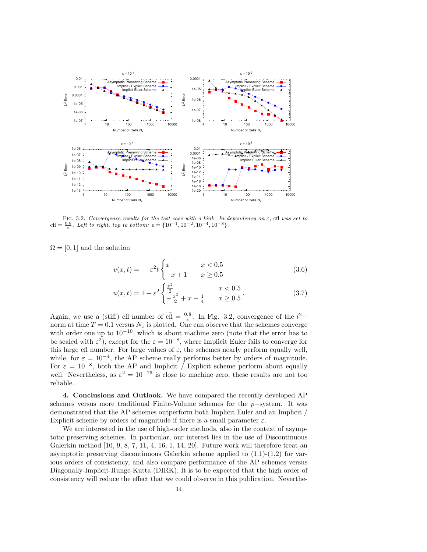

FIG. 3.2. Convergence results for the test case with a kink. In dependency on  $\varepsilon$ , cfl was set to cfl =  $\frac{0.8}{\varepsilon}$ . Left to right, top to bottom:  $\varepsilon = \{10^{-1}, 10^{-2}, 10^{-4}, 10^{-8}\}.$ 

 $\Omega = [0, 1]$  and the solution

$$
v(x,t) = \varepsilon^2 t \begin{cases} x & x < 0.5\\ -x+1 & x \ge 0.5 \end{cases}
$$
 (3.6)

$$
u(x,t) = 1 + \varepsilon^2 \begin{cases} \frac{x^2}{2} & x < 0.5\\ -\frac{x^2}{2} + x - \frac{1}{4} & x \ge 0.5 \end{cases}
$$
 (3.7)

Again, we use a (stiff) cfl number of cfl =  $\frac{0.8}{\varepsilon}$ . In Fig. 3.2, convergence of the  $l^2$ norm at time  $T = 0.1$  versus  $N_x$  is plotted. One can observe that the schemes converge with order one up to  $10^{-10}$ , which is about machine zero (note that the error has to be scaled with  $\varepsilon^2$ ), except for the  $\varepsilon = 10^{-8}$ , where Implicit Euler fails to converge for this large cfl number. For large values of  $\varepsilon$ , the schemes nearly perform equally well, while, for  $\varepsilon = 10^{-4}$ , the AP scheme really performs better by orders of magnitude. For  $\varepsilon = 10^{-8}$ , both the AP and Implicit / Explicit scheme perform about equally well. Nevertheless, as  $\varepsilon^2 = 10^{-16}$  is close to machine zero, these results are not too reliable.

4. Conclusions and Outlook. We have compared the recently developed AP schemes versus more traditional Finite-Volume schemes for the p−system. It was demonstrated that the AP schemes outperform both Implicit Euler and an Implicit / Explicit scheme by orders of magnitude if there is a small parameter  $\varepsilon$ .

We are interested in the use of high-order methods, also in the context of asymptotic preserving schemes. In particular, our interest lies in the use of Discontinuous Galerkin method  $[10, 9, 8, 7, 11, 4, 16, 1, 14, 20]$ . Future work will therefore treat an asymptotic preserving discontinuous Galerkin scheme applied to  $(1.1)-(1.2)$  for various orders of consistency, and also compare performance of the AP schemes versus Diagonally-Implicit-Runge-Kutta (DIRK). It is to be expected that the high order of consistency will reduce the effect that we could observe in this publication. Neverthe